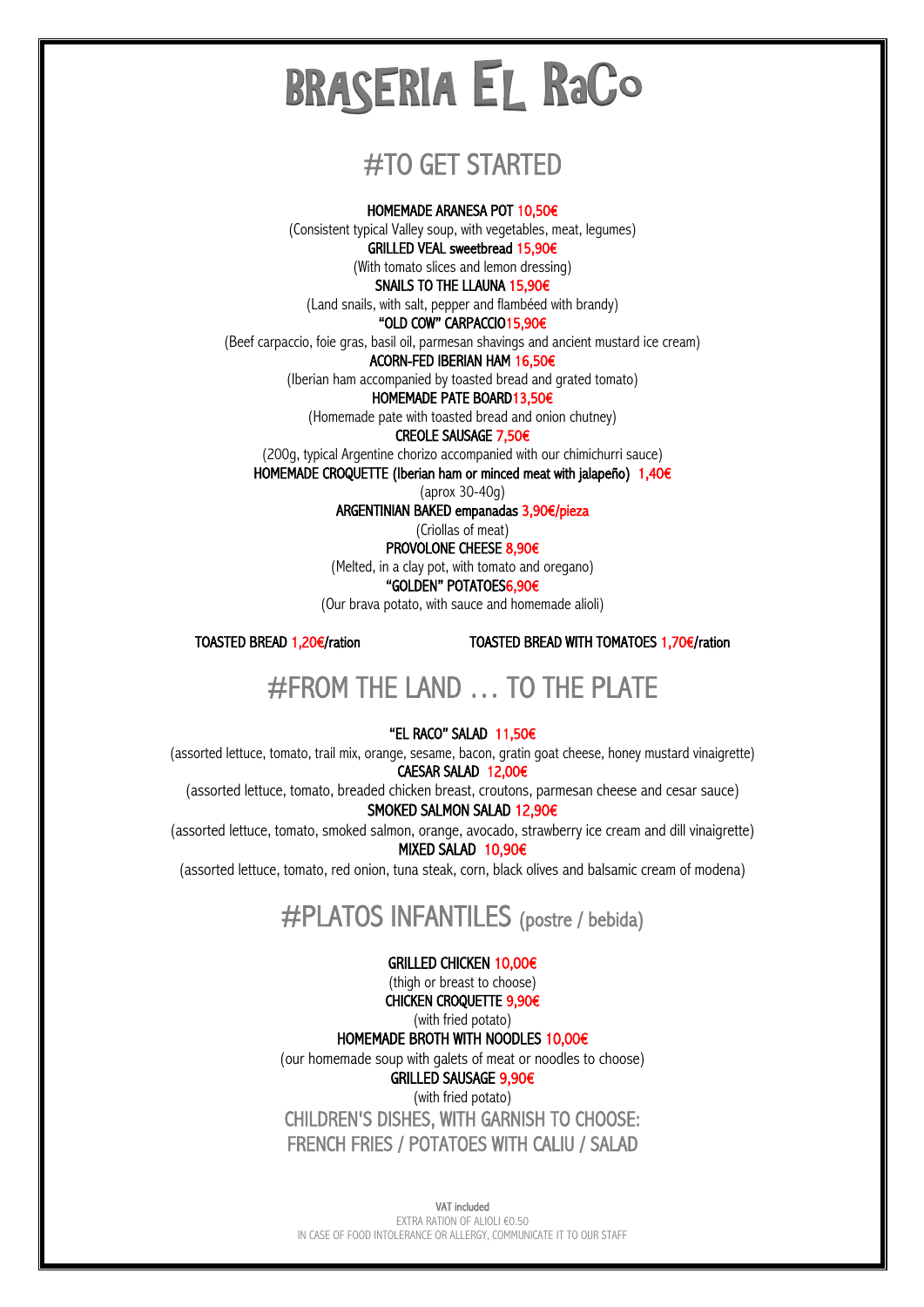## #TO GET STARTED

HOMEMADE ARANESA POT 10,50€

(Consistent typical Valley soup, with vegetables, meat, legumes) GRILLED VEAL sweetbread 15,90€

(With tomato slices and lemon dressing)

SNAILS TO THE LLAUNA 15,90€

(Land snails, with salt, pepper and flambéed with brandy)

"OLD COW" CARPACCIO15,90€

(Beef carpaccio, foie gras, basil oil, parmesan shavings and ancient mustard ice cream)

ACORN-FED IBERIAN HAM 16,50€

(Iberian ham accompanied by toasted bread and grated tomato)

HOMEMADE PATE BOARD13,50€

(Homemade pate with toasted bread and onion chutney)

CREOLE SAUSAGE 7,50€

(200g, typical Argentine chorizo accompanied with our chimichurri sauce)

HOMEMADE CROQUETTE (Iberian ham or minced meat with jalapeño) 1,40€

(aprox 30-40g)

ARGENTINIAN BAKED empanadas 3,90€/pieza

(Criollas of meat) PROVOLONE CHEESE 8,90€

(Melted, in a clay pot, with tomato and oregano)

"GOLDEN" POTATOES6,90€

(Our brava potato, with sauce and homemade alioli)

TOASTED BREAD 1,20€/ration TOASTED BREAD WITH TOMATOES 1,70€/ration

## #FROM THE LAND … TO THE PLATE

#### "EL RACO" SALAD 11,50€

(assorted lettuce, tomato, trail mix, orange, sesame, bacon, gratin goat cheese, honey mustard vinaigrette) CAESAR SALAD 12,00€

(assorted lettuce, tomato, breaded chicken breast, croutons, parmesan cheese and cesar sauce)

SMOKED SALMON SALAD 12,90€

(assorted lettuce, tomato, smoked salmon, orange, avocado, strawberry ice cream and dill vinaigrette) MIXED SALAD 10,90€

(assorted lettuce, tomato, red onion, tuna steak, corn, black olives and balsamic cream of modena)

### #PLATOS INFANTILES (postre / bebida)

#### GRILLED CHICKEN 10,00€

(thigh or breast to choose)

CHICKEN CROQUETTE 9,90€ (with fried potato)

HOMEMADE BROTH WITH NOODLES 10,00€

(our homemade soup with galets of meat or noodles to choose)

GRILLED SAUSAGE 9,90€

(with fried potato) CHILDREN'S DISHES, WITH GARNISH TO CHOOSE: FRENCH FRIES / POTATOES WITH CALIU / SALAD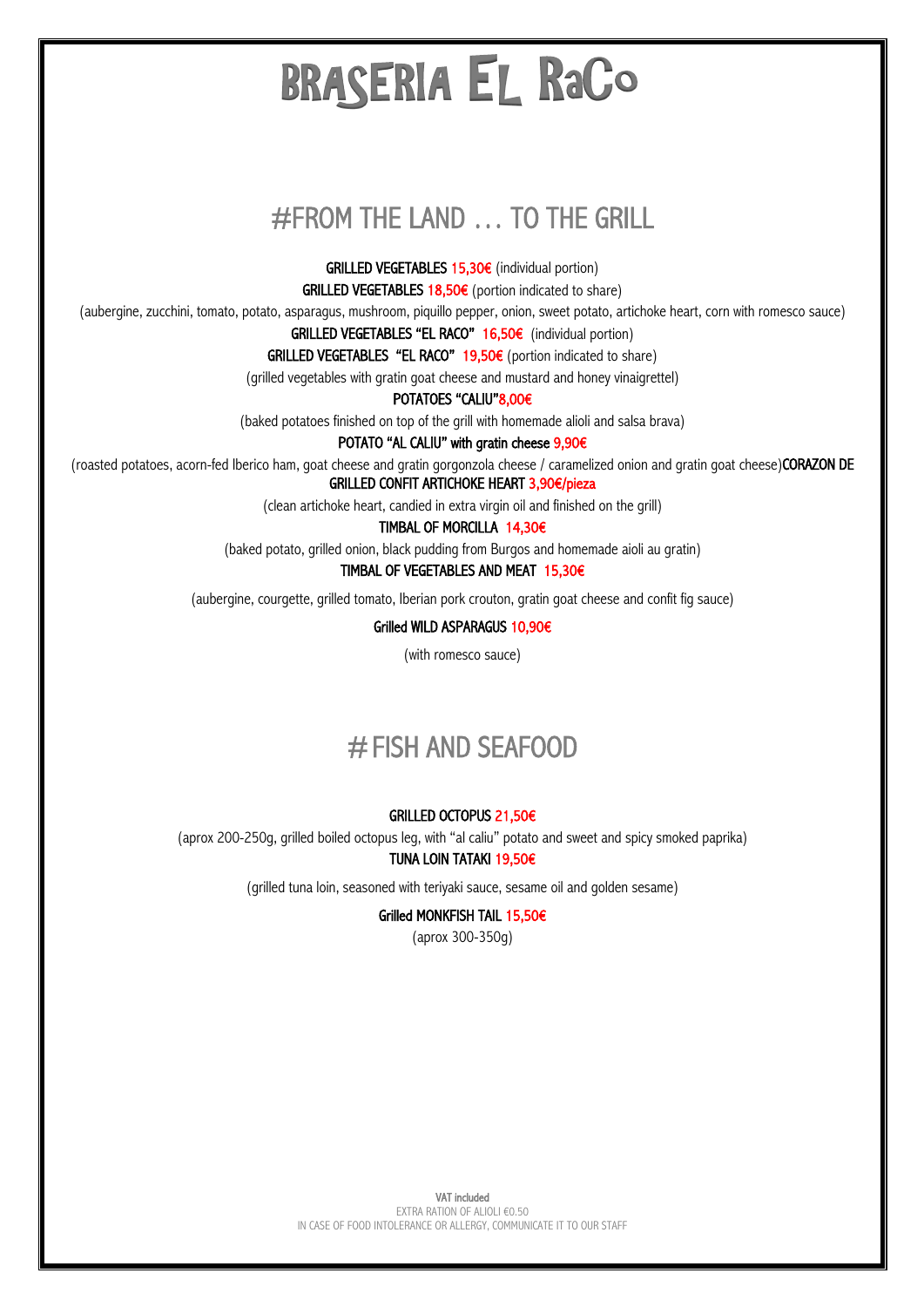## #FROM THE LAND … TO THE GRILL

GRILLED VEGETABLES 15,30€ (individual portion)

GRILLED VEGETABLES  $18,50€$  (portion indicated to share)

(aubergine, zucchini, tomato, potato, asparagus, mushroom, piquillo pepper, onion, sweet potato, artichoke heart, corn with romesco sauce)

GRILLED VEGETABLES "EL RACO" 16,50€ (individual portion)

GRILLED VEGETABLES "EL RACO"  $19,50€$  (portion indicated to share)

(grilled vegetables with gratin goat cheese and mustard and honey vinaigrettel)

POTATOES "CALIU"8,00€

(baked potatoes finished on top of the grill with homemade alioli and salsa brava)

POTATO "AL CALIU" with gratin cheese 9,90€

(roasted potatoes, acorn-fed Iberico ham, goat cheese and gratin gorgonzola cheese / caramelized onion and gratin goat cheese)CORAZON DE GRILLED CONFIT ARTICHOKE HEART 3,90€/pieza

(clean artichoke heart, candied in extra virgin oil and finished on the grill)

TIMBAL OF MORCILLA 14,30€

(baked potato, grilled onion, black pudding from Burgos and homemade aioli au gratin)

TIMBAL OF VEGETABLES AND MEAT 15,30€

(aubergine, courgette, grilled tomato, Iberian pork crouton, gratin goat cheese and confit fig sauce)

Grilled WILD ASPARAGUS 10,90€

(with romesco sauce)

### #FISH AND SEAFOOD

#### GRILLED OCTOPUS 21,50€

(aprox 200-250g, grilled boiled octopus leg, with "al caliu" potato and sweet and spicy smoked paprika)

#### TUNA LOIN TATAKI 19,50€

(grilled tuna loin, seasoned with teriyaki sauce, sesame oil and golden sesame)

#### Grilled MONKFISH TAIL 15,50€

(aprox 300-350g)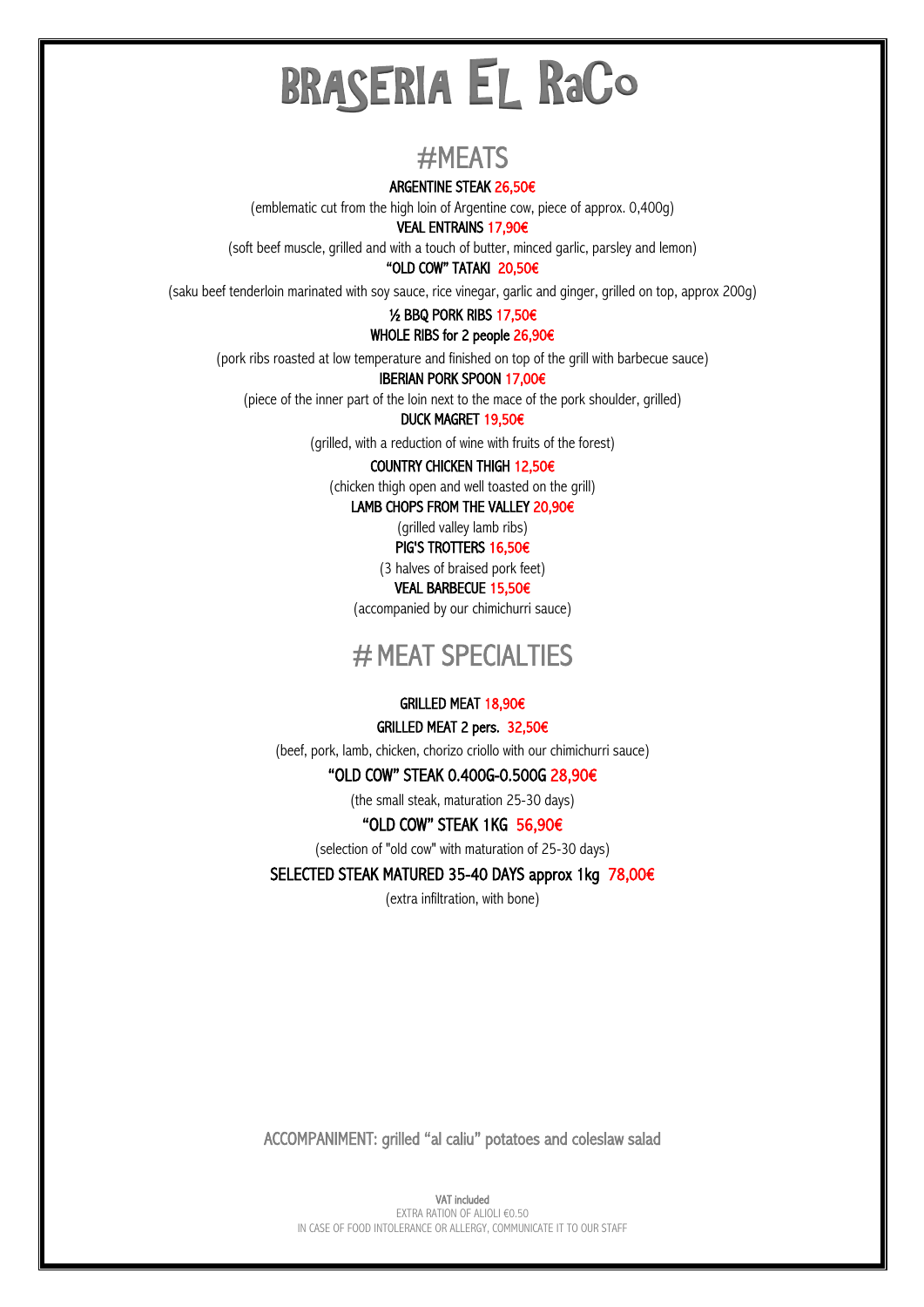## $# \text{MEATS}$ <br>Argentine steak 26,50€

(emblematic cut from the high loin of Argentine cow, piece of approx. 0,400g)

VEAL ENTRAINS 17,90€

(soft beef muscle, grilled and with a touch of butter, minced garlic, parsley and lemon)

#### "OLD COW" TATAKI 20,50€

(saku beef tenderloin marinated with soy sauce, rice vinegar, garlic and ginger, grilled on top, approx 200g)

#### ½ BBQ PORK RIBS 17,50€

#### WHOLE RIBS for 2 people 26,90€

(pork ribs roasted at low temperature and finished on top of the grill with barbecue sauce)

#### IBERIAN PORK SPOON 17,00€

(piece of the inner part of the loin next to the mace of the pork shoulder, grilled)

#### DUCK MAGRET 19,50€

(grilled, with a reduction of wine with fruits of the forest)

#### COUNTRY CHICKEN THIGH 12,50€

(chicken thigh open and well toasted on the grill)

LAMB CHOPS FROM THE VALLEY 20,90€

(grilled valley lamb ribs) PIG'S TROTTERS 16,50€

(3 halves of braised pork feet)

VEAL BARBECUE 15,50€

(accompanied by our chimichurri sauce)

### # MEAT SPECIALTIES

#### GRILLED MEAT 18,90€

#### GRILLED MEAT 2 pers. 32,50€

(beef, pork, lamb, chicken, chorizo criollo with our chimichurri sauce)

#### "OLD COW" STEAK 0.400G-0.500G 28,90€

(the small steak, maturation 25-30 days)

#### "OLD COW" STEAK 1KG 56,90€

(selection of "old cow" with maturation of 25-30 days)

#### SELECTED STEAK MATURED 35-40 DAYS approx 1kg 78,00€

(extra infiltration, with bone)

ACCOMPANIMENT: grilled "al caliu" potatoes and coleslaw salad